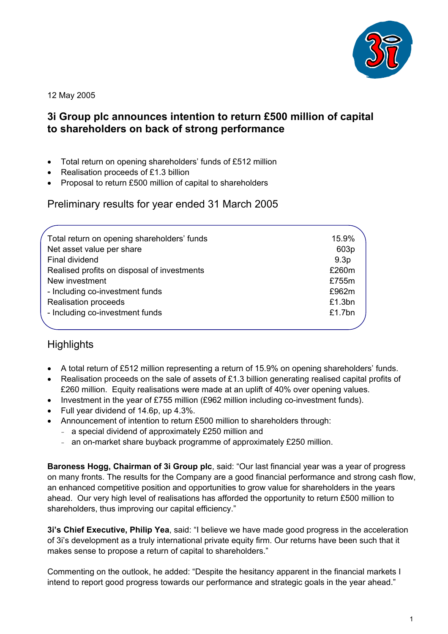

12 May 2005

# **3i Group plc announces intention to return £500 million of capital to shareholders on back of strong performance**

- Total return on opening shareholders' funds of £512 million
- Realisation proceeds of £1.3 billion
- Proposal to return £500 million of capital to shareholders

Preliminary results for year ended 31 March 2005

| Total return on opening shareholders' funds | 15.9%            |
|---------------------------------------------|------------------|
| Net asset value per share                   | 603p             |
| Final dividend                              | 9.3 <sub>p</sub> |
| Realised profits on disposal of investments | £260m            |
| New investment                              | £755m            |
| - Including co-investment funds             | £962m            |
| <b>Realisation proceeds</b>                 | £1.3bn           |
| - Including co-investment funds             | £1.7bn           |
|                                             |                  |

# **Highlights**

- A total return of £512 million representing a return of 15.9% on opening shareholders' funds.
- Realisation proceeds on the sale of assets of £1.3 billion generating realised capital profits of £260 million. Equity realisations were made at an uplift of 40% over opening values.
- Investment in the year of £755 million (£962 million including co-investment funds).
- Full year dividend of 14.6p, up 4.3%.
- Announcement of intention to return £500 million to shareholders through:
	- a special dividend of approximately £250 million and
	- an on-market share buyback programme of approximately £250 million.

**Baroness Hogg, Chairman of 3i Group plc**, said: "Our last financial year was a year of progress on many fronts. The results for the Company are a good financial performance and strong cash flow, an enhanced competitive position and opportunities to grow value for shareholders in the years ahead. Our very high level of realisations has afforded the opportunity to return £500 million to shareholders, thus improving our capital efficiency."

**3i's Chief Executive, Philip Yea**, said: "I believe we have made good progress in the acceleration of 3i's development as a truly international private equity firm. Our returns have been such that it makes sense to propose a return of capital to shareholders."

Commenting on the outlook, he added: "Despite the hesitancy apparent in the financial markets I intend to report good progress towards our performance and strategic goals in the year ahead."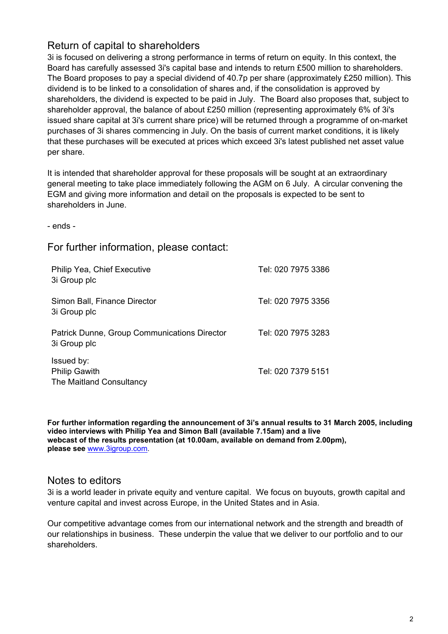# Return of capital to shareholders

3i is focused on delivering a strong performance in terms of return on equity. In this context, the Board has carefully assessed 3i's capital base and intends to return £500 million to shareholders. The Board proposes to pay a special dividend of 40.7p per share (approximately £250 million). This dividend is to be linked to a consolidation of shares and, if the consolidation is approved by shareholders, the dividend is expected to be paid in July. The Board also proposes that, subject to shareholder approval, the balance of about £250 million (representing approximately 6% of 3i's issued share capital at 3i's current share price) will be returned through a programme of on-market purchases of 3i shares commencing in July. On the basis of current market conditions, it is likely that these purchases will be executed at prices which exceed 3i's latest published net asset value per share.

It is intended that shareholder approval for these proposals will be sought at an extraordinary general meeting to take place immediately following the AGM on 6 July. A circular convening the EGM and giving more information and detail on the proposals is expected to be sent to shareholders in June.

- ends -

For further information, please contact:

| Philip Yea, Chief Executive<br>3i Group plc                    | Tel: 020 7975 3386 |
|----------------------------------------------------------------|--------------------|
| Simon Ball, Finance Director<br>3i Group plc                   | Tel: 020 7975 3356 |
| Patrick Dunne, Group Communications Director<br>3i Group plc   | Tel: 020 7975 3283 |
| Issued by:<br><b>Philip Gawith</b><br>The Maitland Consultancy | Tel: 020 7379 5151 |

**For further information regarding the announcement of 3i's annual results to 31 March 2005, including video interviews with Philip Yea and Simon Ball (available 7.15am) and a live webcast of the results presentation (at 10.00am, available on demand from 2.00pm), please see** www.3igroup.com.

## Notes to editors

3i is a world leader in private equity and venture capital. We focus on buyouts, growth capital and venture capital and invest across Europe, in the United States and in Asia.

Our competitive advantage comes from our international network and the strength and breadth of our relationships in business. These underpin the value that we deliver to our portfolio and to our shareholders.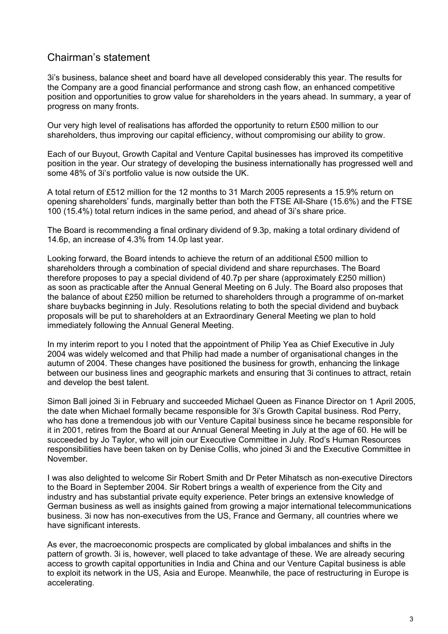# Chairman's statement

3i's business, balance sheet and board have all developed considerably this year. The results for the Company are a good financial performance and strong cash flow, an enhanced competitive position and opportunities to grow value for shareholders in the years ahead. In summary, a year of progress on many fronts.

Our very high level of realisations has afforded the opportunity to return £500 million to our shareholders, thus improving our capital efficiency, without compromising our ability to grow.

Each of our Buyout, Growth Capital and Venture Capital businesses has improved its competitive position in the year. Our strategy of developing the business internationally has progressed well and some 48% of 3i's portfolio value is now outside the UK.

A total return of £512 million for the 12 months to 31 March 2005 represents a 15.9% return on opening shareholders' funds, marginally better than both the FTSE All-Share (15.6%) and the FTSE 100 (15.4%) total return indices in the same period, and ahead of 3i's share price.

The Board is recommending a final ordinary dividend of 9.3p, making a total ordinary dividend of 14.6p, an increase of 4.3% from 14.0p last year.

Looking forward, the Board intends to achieve the return of an additional £500 million to shareholders through a combination of special dividend and share repurchases. The Board therefore proposes to pay a special dividend of 40.7p per share (approximately £250 million) as soon as practicable after the Annual General Meeting on 6 July. The Board also proposes that the balance of about £250 million be returned to shareholders through a programme of on-market share buybacks beginning in July. Resolutions relating to both the special dividend and buyback proposals will be put to shareholders at an Extraordinary General Meeting we plan to hold immediately following the Annual General Meeting.

In my interim report to you I noted that the appointment of Philip Yea as Chief Executive in July 2004 was widely welcomed and that Philip had made a number of organisational changes in the autumn of 2004. These changes have positioned the business for growth, enhancing the linkage between our business lines and geographic markets and ensuring that 3i continues to attract, retain and develop the best talent.

Simon Ball joined 3i in February and succeeded Michael Queen as Finance Director on 1 April 2005, the date when Michael formally became responsible for 3i's Growth Capital business. Rod Perry, who has done a tremendous job with our Venture Capital business since he became responsible for it in 2001, retires from the Board at our Annual General Meeting in July at the age of 60. He will be succeeded by Jo Taylor, who will join our Executive Committee in July. Rod's Human Resources responsibilities have been taken on by Denise Collis, who joined 3i and the Executive Committee in November.

I was also delighted to welcome Sir Robert Smith and Dr Peter Mihatsch as non-executive Directors to the Board in September 2004. Sir Robert brings a wealth of experience from the City and industry and has substantial private equity experience. Peter brings an extensive knowledge of German business as well as insights gained from growing a major international telecommunications business. 3i now has non-executives from the US, France and Germany, all countries where we have significant interests.

As ever, the macroeconomic prospects are complicated by global imbalances and shifts in the pattern of growth. 3i is, however, well placed to take advantage of these. We are already securing access to growth capital opportunities in India and China and our Venture Capital business is able to exploit its network in the US, Asia and Europe. Meanwhile, the pace of restructuring in Europe is accelerating.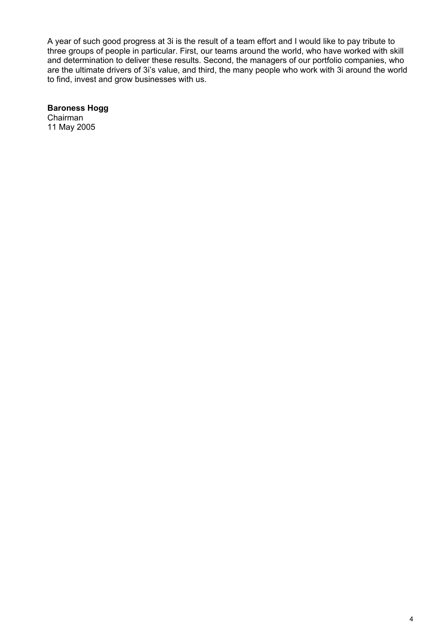A year of such good progress at 3i is the result of a team effort and I would like to pay tribute to three groups of people in particular. First, our teams around the world, who have worked with skill and determination to deliver these results. Second, the managers of our portfolio companies, who are the ultimate drivers of 3i's value, and third, the many people who work with 3i around the world to find, invest and grow businesses with us.

**Baroness Hogg**  Chairman

11 May 2005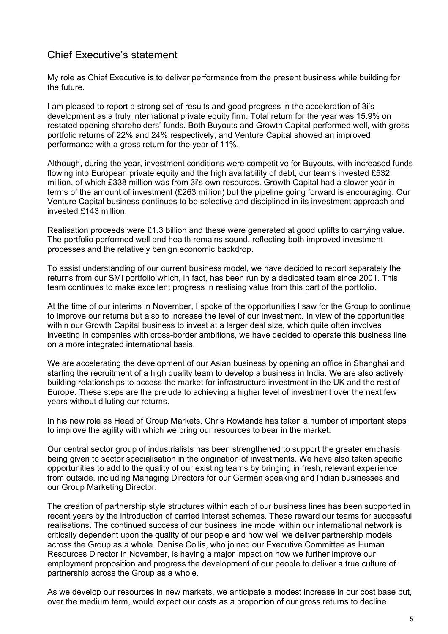# Chief Executive's statement

My role as Chief Executive is to deliver performance from the present business while building for the future.

I am pleased to report a strong set of results and good progress in the acceleration of 3i's development as a truly international private equity firm. Total return for the year was 15.9% on restated opening shareholders' funds. Both Buyouts and Growth Capital performed well, with gross portfolio returns of 22% and 24% respectively, and Venture Capital showed an improved performance with a gross return for the year of 11%.

Although, during the year, investment conditions were competitive for Buyouts, with increased funds flowing into European private equity and the high availability of debt, our teams invested £532 million, of which £338 million was from 3i's own resources. Growth Capital had a slower year in terms of the amount of investment (£263 million) but the pipeline going forward is encouraging. Our Venture Capital business continues to be selective and disciplined in its investment approach and invested £143 million.

Realisation proceeds were £1.3 billion and these were generated at good uplifts to carrying value. The portfolio performed well and health remains sound, reflecting both improved investment processes and the relatively benign economic backdrop.

To assist understanding of our current business model, we have decided to report separately the returns from our SMI portfolio which, in fact, has been run by a dedicated team since 2001. This team continues to make excellent progress in realising value from this part of the portfolio.

At the time of our interims in November, I spoke of the opportunities I saw for the Group to continue to improve our returns but also to increase the level of our investment. In view of the opportunities within our Growth Capital business to invest at a larger deal size, which quite often involves investing in companies with cross-border ambitions, we have decided to operate this business line on a more integrated international basis.

We are accelerating the development of our Asian business by opening an office in Shanghai and starting the recruitment of a high quality team to develop a business in India. We are also actively building relationships to access the market for infrastructure investment in the UK and the rest of Europe. These steps are the prelude to achieving a higher level of investment over the next few years without diluting our returns.

In his new role as Head of Group Markets, Chris Rowlands has taken a number of important steps to improve the agility with which we bring our resources to bear in the market.

Our central sector group of industrialists has been strengthened to support the greater emphasis being given to sector specialisation in the origination of investments. We have also taken specific opportunities to add to the quality of our existing teams by bringing in fresh, relevant experience from outside, including Managing Directors for our German speaking and Indian businesses and our Group Marketing Director.

The creation of partnership style structures within each of our business lines has been supported in recent years by the introduction of carried interest schemes. These reward our teams for successful realisations. The continued success of our business line model within our international network is critically dependent upon the quality of our people and how well we deliver partnership models across the Group as a whole. Denise Collis, who joined our Executive Committee as Human Resources Director in November, is having a major impact on how we further improve our employment proposition and progress the development of our people to deliver a true culture of partnership across the Group as a whole.

As we develop our resources in new markets, we anticipate a modest increase in our cost base but, over the medium term, would expect our costs as a proportion of our gross returns to decline.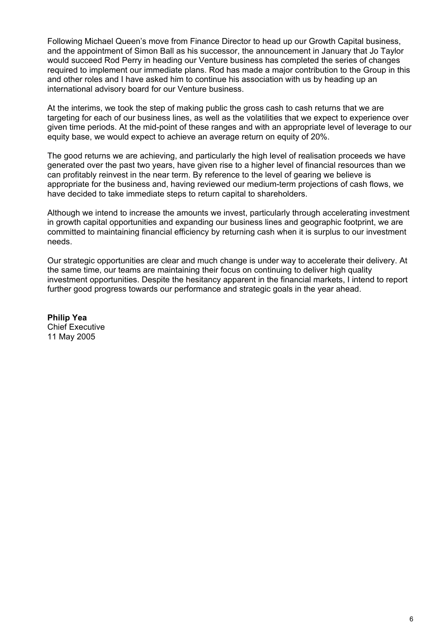Following Michael Queen's move from Finance Director to head up our Growth Capital business, and the appointment of Simon Ball as his successor, the announcement in January that Jo Taylor would succeed Rod Perry in heading our Venture business has completed the series of changes required to implement our immediate plans. Rod has made a major contribution to the Group in this and other roles and I have asked him to continue his association with us by heading up an international advisory board for our Venture business.

At the interims, we took the step of making public the gross cash to cash returns that we are targeting for each of our business lines, as well as the volatilities that we expect to experience over given time periods. At the mid-point of these ranges and with an appropriate level of leverage to our equity base, we would expect to achieve an average return on equity of 20%.

The good returns we are achieving, and particularly the high level of realisation proceeds we have generated over the past two years, have given rise to a higher level of financial resources than we can profitably reinvest in the near term. By reference to the level of gearing we believe is appropriate for the business and, having reviewed our medium-term projections of cash flows, we have decided to take immediate steps to return capital to shareholders.

Although we intend to increase the amounts we invest, particularly through accelerating investment in growth capital opportunities and expanding our business lines and geographic footprint, we are committed to maintaining financial efficiency by returning cash when it is surplus to our investment needs.

Our strategic opportunities are clear and much change is under way to accelerate their delivery. At the same time, our teams are maintaining their focus on continuing to deliver high quality investment opportunities. Despite the hesitancy apparent in the financial markets, I intend to report further good progress towards our performance and strategic goals in the year ahead.

**Philip Yea**  Chief Executive 11 May 2005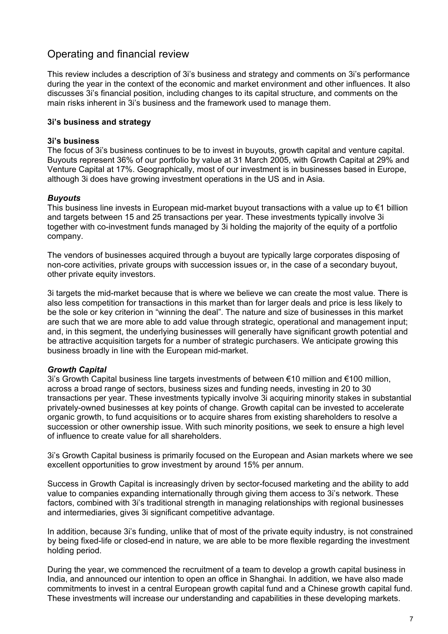# Operating and financial review

This review includes a description of 3i's business and strategy and comments on 3i's performance during the year in the context of the economic and market environment and other influences. It also discusses 3i's financial position, including changes to its capital structure, and comments on the main risks inherent in 3i's business and the framework used to manage them.

## **3i's business and strategy**

### **3i's business**

The focus of 3i's business continues to be to invest in buyouts, growth capital and venture capital. Buyouts represent 36% of our portfolio by value at 31 March 2005, with Growth Capital at 29% and Venture Capital at 17%. Geographically, most of our investment is in businesses based in Europe, although 3i does have growing investment operations in the US and in Asia.

## *Buyouts*

This business line invests in European mid-market buyout transactions with a value up to  $\epsilon$ 1 billion and targets between 15 and 25 transactions per year. These investments typically involve 3i together with co-investment funds managed by 3i holding the majority of the equity of a portfolio company.

The vendors of businesses acquired through a buyout are typically large corporates disposing of non-core activities, private groups with succession issues or, in the case of a secondary buyout, other private equity investors.

3i targets the mid-market because that is where we believe we can create the most value. There is also less competition for transactions in this market than for larger deals and price is less likely to be the sole or key criterion in "winning the deal". The nature and size of businesses in this market are such that we are more able to add value through strategic, operational and management input; and, in this segment, the underlying businesses will generally have significant growth potential and be attractive acquisition targets for a number of strategic purchasers. We anticipate growing this business broadly in line with the European mid-market.

### *Growth Capital*

3i's Growth Capital business line targets investments of between €10 million and €100 million, across a broad range of sectors, business sizes and funding needs, investing in 20 to 30 transactions per year. These investments typically involve 3i acquiring minority stakes in substantial privately-owned businesses at key points of change. Growth capital can be invested to accelerate organic growth, to fund acquisitions or to acquire shares from existing shareholders to resolve a succession or other ownership issue. With such minority positions, we seek to ensure a high level of influence to create value for all shareholders.

3i's Growth Capital business is primarily focused on the European and Asian markets where we see excellent opportunities to grow investment by around 15% per annum.

Success in Growth Capital is increasingly driven by sector-focused marketing and the ability to add value to companies expanding internationally through giving them access to 3i's network. These factors, combined with 3i's traditional strength in managing relationships with regional businesses and intermediaries, gives 3i significant competitive advantage.

In addition, because 3i's funding, unlike that of most of the private equity industry, is not constrained by being fixed-life or closed-end in nature, we are able to be more flexible regarding the investment holding period.

During the year, we commenced the recruitment of a team to develop a growth capital business in India, and announced our intention to open an office in Shanghai. In addition, we have also made commitments to invest in a central European growth capital fund and a Chinese growth capital fund. These investments will increase our understanding and capabilities in these developing markets.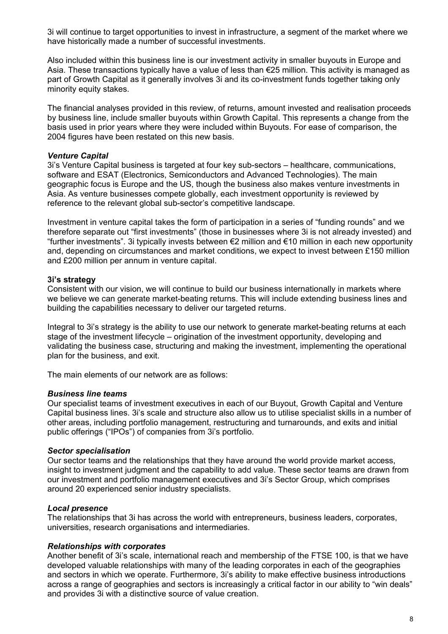3i will continue to target opportunities to invest in infrastructure, a segment of the market where we have historically made a number of successful investments.

Also included within this business line is our investment activity in smaller buyouts in Europe and Asia. These transactions typically have a value of less than €25 million. This activity is managed as part of Growth Capital as it generally involves 3i and its co-investment funds together taking only minority equity stakes.

The financial analyses provided in this review, of returns, amount invested and realisation proceeds by business line, include smaller buyouts within Growth Capital. This represents a change from the basis used in prior years where they were included within Buyouts. For ease of comparison, the 2004 figures have been restated on this new basis.

#### *Venture Capital*

3i's Venture Capital business is targeted at four key sub-sectors – healthcare, communications, software and ESAT (Electronics, Semiconductors and Advanced Technologies). The main geographic focus is Europe and the US, though the business also makes venture investments in Asia. As venture businesses compete globally, each investment opportunity is reviewed by reference to the relevant global sub-sector's competitive landscape.

Investment in venture capital takes the form of participation in a series of "funding rounds" and we therefore separate out "first investments" (those in businesses where 3i is not already invested) and "further investments". 3i typically invests between €2 million and €10 million in each new opportunity and, depending on circumstances and market conditions, we expect to invest between £150 million and £200 million per annum in venture capital.

#### **3i's strategy**

Consistent with our vision, we will continue to build our business internationally in markets where we believe we can generate market-beating returns. This will include extending business lines and building the capabilities necessary to deliver our targeted returns.

Integral to 3i's strategy is the ability to use our network to generate market-beating returns at each stage of the investment lifecycle – origination of the investment opportunity, developing and validating the business case, structuring and making the investment, implementing the operational plan for the business, and exit.

The main elements of our network are as follows:

#### *Business line teams*

Our specialist teams of investment executives in each of our Buyout, Growth Capital and Venture Capital business lines. 3i's scale and structure also allow us to utilise specialist skills in a number of other areas, including portfolio management, restructuring and turnarounds, and exits and initial public offerings ("IPOs") of companies from 3i's portfolio.

#### *Sector specialisation*

Our sector teams and the relationships that they have around the world provide market access, insight to investment judgment and the capability to add value. These sector teams are drawn from our investment and portfolio management executives and 3i's Sector Group, which comprises around 20 experienced senior industry specialists.

#### *Local presence*

The relationships that 3i has across the world with entrepreneurs, business leaders, corporates, universities, research organisations and intermediaries.

#### *Relationships with corporates*

Another benefit of 3i's scale, international reach and membership of the FTSE 100, is that we have developed valuable relationships with many of the leading corporates in each of the geographies and sectors in which we operate. Furthermore, 3i's ability to make effective business introductions across a range of geographies and sectors is increasingly a critical factor in our ability to "win deals" and provides 3i with a distinctive source of value creation.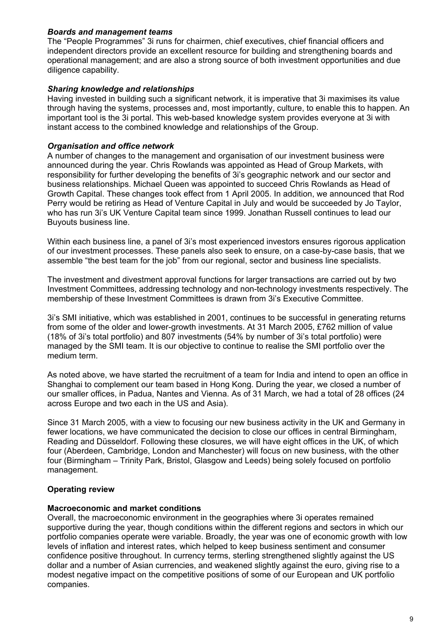### *Boards and management teams*

The "People Programmes" 3i runs for chairmen, chief executives, chief financial officers and independent directors provide an excellent resource for building and strengthening boards and operational management; and are also a strong source of both investment opportunities and due diligence capability.

### *Sharing knowledge and relationships*

Having invested in building such a significant network, it is imperative that 3i maximises its value through having the systems, processes and, most importantly, culture, to enable this to happen. An important tool is the 3i portal. This web-based knowledge system provides everyone at 3i with instant access to the combined knowledge and relationships of the Group.

### *Organisation and office network*

A number of changes to the management and organisation of our investment business were announced during the year. Chris Rowlands was appointed as Head of Group Markets, with responsibility for further developing the benefits of 3i's geographic network and our sector and business relationships. Michael Queen was appointed to succeed Chris Rowlands as Head of Growth Capital. These changes took effect from 1 April 2005. In addition, we announced that Rod Perry would be retiring as Head of Venture Capital in July and would be succeeded by Jo Taylor, who has run 3i's UK Venture Capital team since 1999. Jonathan Russell continues to lead our Buyouts business line.

Within each business line, a panel of 3i's most experienced investors ensures rigorous application of our investment processes. These panels also seek to ensure, on a case-by-case basis, that we assemble "the best team for the job" from our regional, sector and business line specialists.

The investment and divestment approval functions for larger transactions are carried out by two Investment Committees, addressing technology and non-technology investments respectively. The membership of these Investment Committees is drawn from 3i's Executive Committee.

3i's SMI initiative, which was established in 2001, continues to be successful in generating returns from some of the older and lower-growth investments. At 31 March 2005, £762 million of value (18% of 3i's total portfolio) and 807 investments (54% by number of 3i's total portfolio) were managed by the SMI team. It is our objective to continue to realise the SMI portfolio over the medium term.

As noted above, we have started the recruitment of a team for India and intend to open an office in Shanghai to complement our team based in Hong Kong. During the year, we closed a number of our smaller offices, in Padua, Nantes and Vienna. As of 31 March, we had a total of 28 offices (24 across Europe and two each in the US and Asia).

Since 31 March 2005, with a view to focusing our new business activity in the UK and Germany in fewer locations, we have communicated the decision to close our offices in central Birmingham, Reading and Düsseldorf. Following these closures, we will have eight offices in the UK, of which four (Aberdeen, Cambridge, London and Manchester) will focus on new business, with the other four (Birmingham – Trinity Park, Bristol, Glasgow and Leeds) being solely focused on portfolio management.

## **Operating review**

### **Macroeconomic and market conditions**

Overall, the macroeconomic environment in the geographies where 3i operates remained supportive during the year, though conditions within the different regions and sectors in which our portfolio companies operate were variable. Broadly, the year was one of economic growth with low levels of inflation and interest rates, which helped to keep business sentiment and consumer confidence positive throughout. In currency terms, sterling strengthened slightly against the US dollar and a number of Asian currencies, and weakened slightly against the euro, giving rise to a modest negative impact on the competitive positions of some of our European and UK portfolio companies.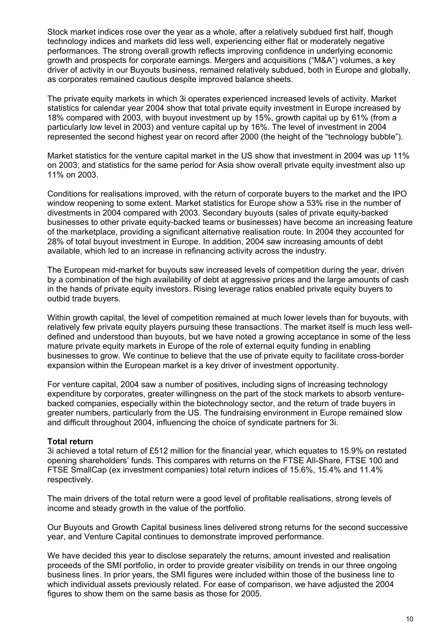Stock market indices rose over the year as a whole, after a relatively subdued first half, though technology indices and markets did less well, experiencing either flat or moderately negative performances. The strong overall growth reflects improving confidence in underlying economic growth and prospects for corporate earnings. Mergers and acquisitions ("M&A") volumes, a key driver of activity in our Buyouts business, remained relatively subdued, both in Europe and globally, as corporates remained cautious despite improved balance sheets.

The private equity markets in which 3i operates experienced increased levels of activity. Market statistics for calendar year 2004 show that total private equity investment in Europe increased by 18% compared with 2003, with buyout investment up by 15%, growth capital up by 61% (from a particularly low level in 2003) and venture capital up by 16%. The level of investment in 2004 represented the second highest year on record after 2000 (the height of the "technology bubble").

Market statistics for the venture capital market in the US show that investment in 2004 was up 11% on 2003; and statistics for the same period for Asia show overall private equity investment also up 11% on 2003.

Conditions for realisations improved, with the return of corporate buyers to the market and the IPO window reopening to some extent. Market statistics for Europe show a 53% rise in the number of divestments in 2004 compared with 2003. Secondary buyouts (sales of private equity-backed businesses to other private equity-backed teams or businesses) have become an increasing feature of the marketplace, providing a significant alternative realisation route. In 2004 they accounted for 28% of total buyout investment in Europe. In addition, 2004 saw increasing amounts of debt available, which led to an increase in refinancing activity across the industry.

The European mid-market for buyouts saw increased levels of competition during the year, driven by a combination of the high availability of debt at aggressive prices and the large amounts of cash in the hands of private equity investors. Rising leverage ratios enabled private equity buyers to outbid trade buyers.

Within growth capital, the level of competition remained at much lower levels than for buyouts, with relatively few private equity players pursuing these transactions. The market itself is much less welldefined and understood than buyouts, but we have noted a growing acceptance in some of the less mature private equity markets in Europe of the role of external equity funding in enabling businesses to grow. We continue to believe that the use of private equity to facilitate cross-border expansion within the European market is a key driver of investment opportunity.

For venture capital, 2004 saw a number of positives, including signs of increasing technology expenditure by corporates, greater willingness on the part of the stock markets to absorb venturebacked companies, especially within the biotechnology sector, and the return of trade buyers in greater numbers, particularly from the US. The fundraising environment in Europe remained slow and difficult throughout 2004, influencing the choice of syndicate partners for 3i.

### **Total return**

3i achieved a total return of £512 million for the financial year, which equates to 15.9% on restated opening shareholders' funds. This compares with returns on the FTSE All-Share, FTSE 100 and FTSE SmallCap (ex investment companies) total return indices of 15.6%, 15.4% and 11.4% respectively.

The main drivers of the total return were a good level of profitable realisations, strong levels of income and steady growth in the value of the portfolio.

Our Buyouts and Growth Capital business lines delivered strong returns for the second successive year, and Venture Capital continues to demonstrate improved performance.

We have decided this year to disclose separately the returns, amount invested and realisation proceeds of the SMI portfolio, in order to provide greater visibility on trends in our three ongoing business lines. In prior years, the SMI figures were included within those of the business line to which individual assets previously related. For ease of comparison, we have adjusted the 2004 figures to show them on the same basis as those for 2005.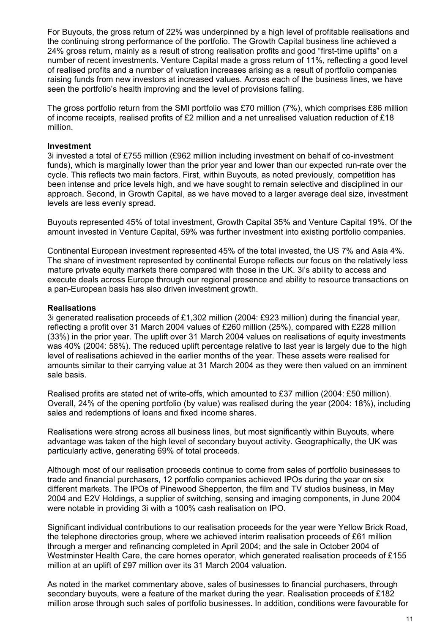For Buyouts, the gross return of 22% was underpinned by a high level of profitable realisations and the continuing strong performance of the portfolio. The Growth Capital business line achieved a 24% gross return, mainly as a result of strong realisation profits and good "first-time uplifts" on a number of recent investments. Venture Capital made a gross return of 11%, reflecting a good level of realised profits and a number of valuation increases arising as a result of portfolio companies raising funds from new investors at increased values. Across each of the business lines, we have seen the portfolio's health improving and the level of provisions falling.

The gross portfolio return from the SMI portfolio was £70 million (7%), which comprises £86 million of income receipts, realised profits of £2 million and a net unrealised valuation reduction of £18 million.

#### **Investment**

3i invested a total of £755 million (£962 million including investment on behalf of co-investment funds), which is marginally lower than the prior year and lower than our expected run-rate over the cycle. This reflects two main factors. First, within Buyouts, as noted previously, competition has been intense and price levels high, and we have sought to remain selective and disciplined in our approach. Second, in Growth Capital, as we have moved to a larger average deal size, investment levels are less evenly spread.

Buyouts represented 45% of total investment, Growth Capital 35% and Venture Capital 19%. Of the amount invested in Venture Capital, 59% was further investment into existing portfolio companies.

Continental European investment represented 45% of the total invested, the US 7% and Asia 4%. The share of investment represented by continental Europe reflects our focus on the relatively less mature private equity markets there compared with those in the UK. 3i's ability to access and execute deals across Europe through our regional presence and ability to resource transactions on a pan-European basis has also driven investment growth.

#### **Realisations**

3i generated realisation proceeds of £1,302 million (2004: £923 million) during the financial year, reflecting a profit over 31 March 2004 values of £260 million (25%), compared with £228 million (33%) in the prior year. The uplift over 31 March 2004 values on realisations of equity investments was 40% (2004: 58%). The reduced uplift percentage relative to last year is largely due to the high level of realisations achieved in the earlier months of the year. These assets were realised for amounts similar to their carrying value at 31 March 2004 as they were then valued on an imminent sale basis.

Realised profits are stated net of write-offs, which amounted to £37 million (2004: £50 million). Overall, 24% of the opening portfolio (by value) was realised during the year (2004: 18%), including sales and redemptions of loans and fixed income shares.

Realisations were strong across all business lines, but most significantly within Buyouts, where advantage was taken of the high level of secondary buyout activity. Geographically, the UK was particularly active, generating 69% of total proceeds.

Although most of our realisation proceeds continue to come from sales of portfolio businesses to trade and financial purchasers, 12 portfolio companies achieved IPOs during the year on six different markets. The IPOs of Pinewood Shepperton, the film and TV studios business, in May 2004 and E2V Holdings, a supplier of switching, sensing and imaging components, in June 2004 were notable in providing 3i with a 100% cash realisation on IPO.

Significant individual contributions to our realisation proceeds for the year were Yellow Brick Road, the telephone directories group, where we achieved interim realisation proceeds of £61 million through a merger and refinancing completed in April 2004; and the sale in October 2004 of Westminster Health Care, the care homes operator, which generated realisation proceeds of £155 million at an uplift of £97 million over its 31 March 2004 valuation.

As noted in the market commentary above, sales of businesses to financial purchasers, through secondary buyouts, were a feature of the market during the year. Realisation proceeds of £182 million arose through such sales of portfolio businesses. In addition, conditions were favourable for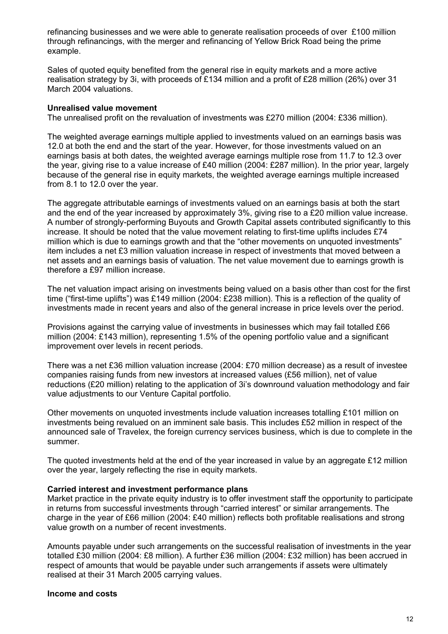refinancing businesses and we were able to generate realisation proceeds of over £100 million through refinancings, with the merger and refinancing of Yellow Brick Road being the prime example.

Sales of quoted equity benefited from the general rise in equity markets and a more active realisation strategy by 3i, with proceeds of £134 million and a profit of £28 million (26%) over 31 March 2004 valuations.

### **Unrealised value movement**

The unrealised profit on the revaluation of investments was £270 million (2004: £336 million).

The weighted average earnings multiple applied to investments valued on an earnings basis was 12.0 at both the end and the start of the year. However, for those investments valued on an earnings basis at both dates, the weighted average earnings multiple rose from 11.7 to 12.3 over the year, giving rise to a value increase of £40 million (2004: £287 million). In the prior year, largely because of the general rise in equity markets, the weighted average earnings multiple increased from 8.1 to 12.0 over the year.

The aggregate attributable earnings of investments valued on an earnings basis at both the start and the end of the year increased by approximately 3%, giving rise to a £20 million value increase. A number of strongly-performing Buyouts and Growth Capital assets contributed significantly to this increase. It should be noted that the value movement relating to first-time uplifts includes £74 million which is due to earnings growth and that the "other movements on unquoted investments" item includes a net £3 million valuation increase in respect of investments that moved between a net assets and an earnings basis of valuation. The net value movement due to earnings growth is therefore a £97 million increase.

The net valuation impact arising on investments being valued on a basis other than cost for the first time ("first-time uplifts") was £149 million (2004: £238 million). This is a reflection of the quality of investments made in recent years and also of the general increase in price levels over the period.

Provisions against the carrying value of investments in businesses which may fail totalled £66 million (2004: £143 million), representing 1.5% of the opening portfolio value and a significant improvement over levels in recent periods.

There was a net £36 million valuation increase (2004: £70 million decrease) as a result of investee companies raising funds from new investors at increased values (£56 million), net of value reductions (£20 million) relating to the application of 3i's downround valuation methodology and fair value adjustments to our Venture Capital portfolio.

Other movements on unquoted investments include valuation increases totalling £101 million on investments being revalued on an imminent sale basis. This includes £52 million in respect of the announced sale of Travelex, the foreign currency services business, which is due to complete in the summer.

The quoted investments held at the end of the year increased in value by an aggregate £12 million over the year, largely reflecting the rise in equity markets.

#### **Carried interest and investment performance plans**

Market practice in the private equity industry is to offer investment staff the opportunity to participate in returns from successful investments through "carried interest" or similar arrangements. The charge in the year of £66 million (2004: £40 million) reflects both profitable realisations and strong value growth on a number of recent investments.

Amounts payable under such arrangements on the successful realisation of investments in the year totalled £30 million (2004: £8 million). A further £36 million (2004: £32 million) has been accrued in respect of amounts that would be payable under such arrangements if assets were ultimately realised at their 31 March 2005 carrying values.

### **Income and costs**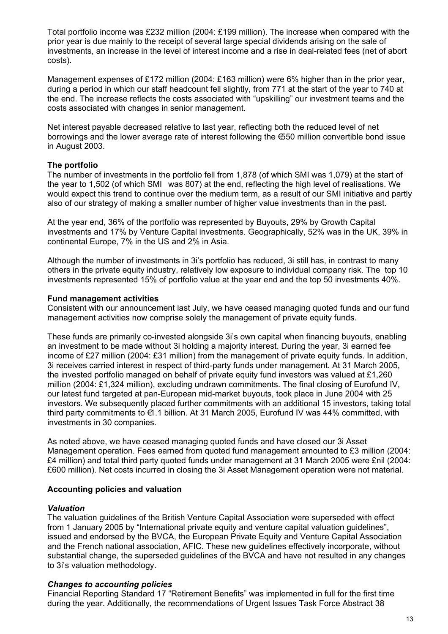Total portfolio income was £232 million (2004: £199 million). The increase when compared with the prior year is due mainly to the receipt of several large special dividends arising on the sale of investments, an increase in the level of interest income and a rise in deal-related fees (net of abort costs).

Management expenses of £172 million (2004: £163 million) were 6% higher than in the prior year, during a period in which our staff headcount fell slightly, from 771 at the start of the year to 740 at the end. The increase reflects the costs associated with "upskilling" our investment teams and the costs associated with changes in senior management.

Net interest payable decreased relative to last year, reflecting both the reduced level of net borrowings and the lower average rate of interest following the €550 million convertible bond issue in August 2003.

### **The portfolio**

The number of investments in the portfolio fell from 1,878 (of which SMI was 1,079) at the start of the year to 1,502 (of which SMI was 807) at the end, reflecting the high level of realisations. We would expect this trend to continue over the medium term, as a result of our SMI initiative and partly also of our strategy of making a smaller number of higher value investments than in the past.

At the year end, 36% of the portfolio was represented by Buyouts, 29% by Growth Capital investments and 17% by Venture Capital investments. Geographically, 52% was in the UK, 39% in continental Europe, 7% in the US and 2% in Asia.

Although the number of investments in 3i's portfolio has reduced, 3i still has, in contrast to many others in the private equity industry, relatively low exposure to individual company risk. The top 10 investments represented 15% of portfolio value at the year end and the top 50 investments 40%.

#### **Fund management activities**

Consistent with our announcement last July, we have ceased managing quoted funds and our fund management activities now comprise solely the management of private equity funds.

These funds are primarily co-invested alongside 3i's own capital when financing buyouts, enabling an investment to be made without 3i holding a majority interest. During the year, 3i earned fee income of £27 million (2004: £31 million) from the management of private equity funds. In addition, 3i receives carried interest in respect of third-party funds under management. At 31 March 2005, the invested portfolio managed on behalf of private equity fund investors was valued at £1,260 million (2004: £1,324 million), excluding undrawn commitments. The final closing of Eurofund IV, our latest fund targeted at pan-European mid-market buyouts, took place in June 2004 with 25 investors. We subsequently placed further commitments with an additional 15 investors, taking total third party commitments to €1.1 billion. At 31 March 2005, Eurofund IV was 44% committed, with investments in 30 companies.

As noted above, we have ceased managing quoted funds and have closed our 3i Asset Management operation. Fees earned from quoted fund management amounted to £3 million (2004: £4 million) and total third party quoted funds under management at 31 March 2005 were £nil (2004: £600 million). Net costs incurred in closing the 3i Asset Management operation were not material.

### **Accounting policies and valuation**

### *Valuation*

The valuation guidelines of the British Venture Capital Association were superseded with effect from 1 January 2005 by "International private equity and venture capital valuation guidelines", issued and endorsed by the BVCA, the European Private Equity and Venture Capital Association and the French national association, AFIC. These new guidelines effectively incorporate, without substantial change, the superseded guidelines of the BVCA and have not resulted in any changes to 3i's valuation methodology.

### *Changes to accounting policies*

Financial Reporting Standard 17 "Retirement Benefits" was implemented in full for the first time during the year. Additionally, the recommendations of Urgent Issues Task Force Abstract 38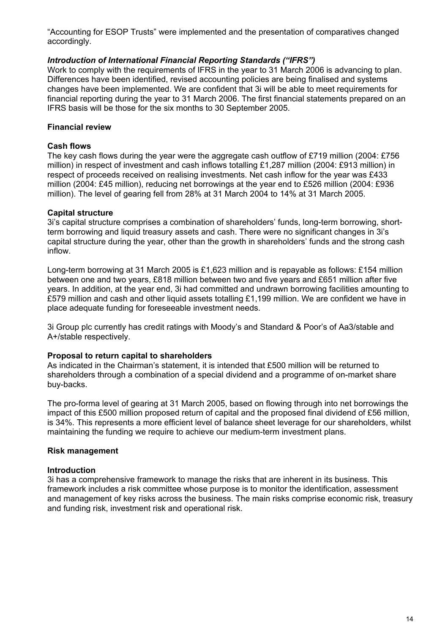"Accounting for ESOP Trusts" were implemented and the presentation of comparatives changed accordingly.

## *Introduction of International Financial Reporting Standards ("IFRS")*

Work to comply with the requirements of IFRS in the year to 31 March 2006 is advancing to plan. Differences have been identified, revised accounting policies are being finalised and systems changes have been implemented. We are confident that 3i will be able to meet requirements for financial reporting during the year to 31 March 2006. The first financial statements prepared on an IFRS basis will be those for the six months to 30 September 2005.

## **Financial review**

## **Cash flows**

The key cash flows during the year were the aggregate cash outflow of £719 million (2004: £756 million) in respect of investment and cash inflows totalling £1,287 million (2004: £913 million) in respect of proceeds received on realising investments. Net cash inflow for the year was £433 million (2004: £45 million), reducing net borrowings at the year end to £526 million (2004: £936 million). The level of gearing fell from 28% at 31 March 2004 to 14% at 31 March 2005.

### **Capital structure**

3i's capital structure comprises a combination of shareholders' funds, long-term borrowing, shortterm borrowing and liquid treasury assets and cash. There were no significant changes in 3i's capital structure during the year, other than the growth in shareholders' funds and the strong cash inflow.

Long-term borrowing at 31 March 2005 is £1,623 million and is repayable as follows: £154 million between one and two years, £818 million between two and five years and £651 million after five years. In addition, at the year end, 3i had committed and undrawn borrowing facilities amounting to £579 million and cash and other liquid assets totalling £1,199 million. We are confident we have in place adequate funding for foreseeable investment needs.

3i Group plc currently has credit ratings with Moody's and Standard & Poor's of Aa3/stable and A+/stable respectively.

### **Proposal to return capital to shareholders**

As indicated in the Chairman's statement, it is intended that £500 million will be returned to shareholders through a combination of a special dividend and a programme of on-market share buy-backs.

The pro-forma level of gearing at 31 March 2005, based on flowing through into net borrowings the impact of this £500 million proposed return of capital and the proposed final dividend of £56 million, is 34%. This represents a more efficient level of balance sheet leverage for our shareholders, whilst maintaining the funding we require to achieve our medium-term investment plans.

### **Risk management**

### **Introduction**

3i has a comprehensive framework to manage the risks that are inherent in its business. This framework includes a risk committee whose purpose is to monitor the identification, assessment and management of key risks across the business. The main risks comprise economic risk, treasury and funding risk, investment risk and operational risk.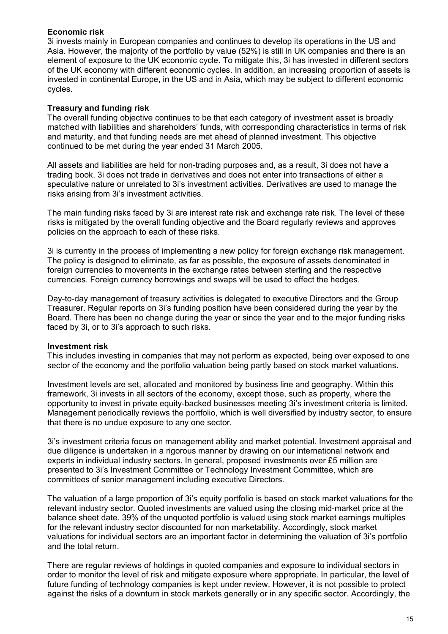## **Economic risk**

3i invests mainly in European companies and continues to develop its operations in the US and Asia. However, the majority of the portfolio by value (52%) is still in UK companies and there is an element of exposure to the UK economic cycle. To mitigate this, 3i has invested in different sectors of the UK economy with different economic cycles. In addition, an increasing proportion of assets is invested in continental Europe, in the US and in Asia, which may be subject to different economic cycles.

## **Treasury and funding risk**

The overall funding objective continues to be that each category of investment asset is broadly matched with liabilities and shareholders' funds, with corresponding characteristics in terms of risk and maturity, and that funding needs are met ahead of planned investment. This objective continued to be met during the year ended 31 March 2005.

All assets and liabilities are held for non-trading purposes and, as a result, 3i does not have a trading book. 3i does not trade in derivatives and does not enter into transactions of either a speculative nature or unrelated to 3i's investment activities. Derivatives are used to manage the risks arising from 3i's investment activities.

The main funding risks faced by 3i are interest rate risk and exchange rate risk. The level of these risks is mitigated by the overall funding objective and the Board regularly reviews and approves policies on the approach to each of these risks.

3i is currently in the process of implementing a new policy for foreign exchange risk management. The policy is designed to eliminate, as far as possible, the exposure of assets denominated in foreign currencies to movements in the exchange rates between sterling and the respective currencies. Foreign currency borrowings and swaps will be used to effect the hedges.

Day-to-day management of treasury activities is delegated to executive Directors and the Group Treasurer. Regular reports on 3i's funding position have been considered during the year by the Board. There has been no change during the year or since the year end to the major funding risks faced by 3i, or to 3i's approach to such risks.

### **Investment risk**

This includes investing in companies that may not perform as expected, being over exposed to one sector of the economy and the portfolio valuation being partly based on stock market valuations.

Investment levels are set, allocated and monitored by business line and geography. Within this framework, 3i invests in all sectors of the economy, except those, such as property, where the opportunity to invest in private equity-backed businesses meeting 3i's investment criteria is limited. Management periodically reviews the portfolio, which is well diversified by industry sector, to ensure that there is no undue exposure to any one sector.

3i's investment criteria focus on management ability and market potential. Investment appraisal and due diligence is undertaken in a rigorous manner by drawing on our international network and experts in individual industry sectors. In general, proposed investments over £5 million are presented to 3i's Investment Committee or Technology Investment Committee, which are committees of senior management including executive Directors.

The valuation of a large proportion of 3i's equity portfolio is based on stock market valuations for the relevant industry sector. Quoted investments are valued using the closing mid-market price at the balance sheet date. 39% of the unquoted portfolio is valued using stock market earnings multiples for the relevant industry sector discounted for non marketability. Accordingly, stock market valuations for individual sectors are an important factor in determining the valuation of 3i's portfolio and the total return.

There are regular reviews of holdings in quoted companies and exposure to individual sectors in order to monitor the level of risk and mitigate exposure where appropriate. In particular, the level of future funding of technology companies is kept under review. However, it is not possible to protect against the risks of a downturn in stock markets generally or in any specific sector. Accordingly, the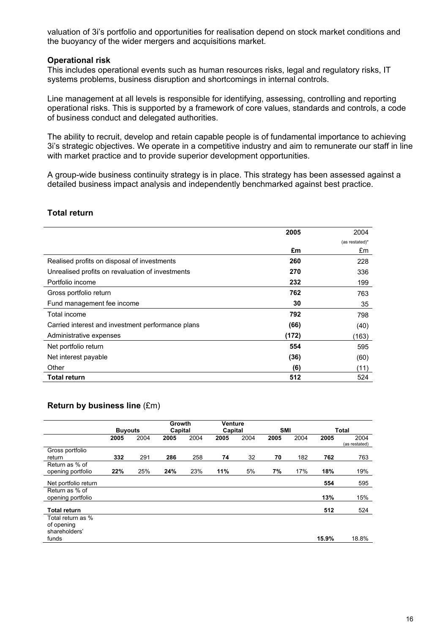valuation of 3i's portfolio and opportunities for realisation depend on stock market conditions and the buoyancy of the wider mergers and acquisitions market.

#### **Operational risk**

This includes operational events such as human resources risks, legal and regulatory risks, IT systems problems, business disruption and shortcomings in internal controls.

Line management at all levels is responsible for identifying, assessing, controlling and reporting operational risks. This is supported by a framework of core values, standards and controls, a code of business conduct and delegated authorities.

The ability to recruit, develop and retain capable people is of fundamental importance to achieving 3i's strategic objectives. We operate in a competitive industry and aim to remunerate our staff in line with market practice and to provide superior development opportunities.

A group-wide business continuity strategy is in place. This strategy has been assessed against a detailed business impact analysis and independently benchmarked against best practice.

### **Total return**

|                                                   | 2005  | 2004           |
|---------------------------------------------------|-------|----------------|
|                                                   |       | (as restated)* |
|                                                   | £m    | £m             |
| Realised profits on disposal of investments       | 260   | 228            |
| Unrealised profits on revaluation of investments  | 270   | 336            |
| Portfolio income                                  | 232   | 199            |
| Gross portfolio return                            | 762   | 763            |
| Fund management fee income                        | 30    | 35             |
| Total income                                      | 792   | 798            |
| Carried interest and investment performance plans | (66)  | (40)           |
| Administrative expenses                           | (172) | (163)          |
| Net portfolio return                              | 554   | 595            |
| Net interest payable                              | (36)  | (60)           |
| Other                                             | (6)   | (11)           |
| <b>Total return</b>                               | 512   | 524            |

### **Return by business line** (£m)

|                                     |                |      | Growth  |      | <b>Venture</b> |      |            |      |       |                       |
|-------------------------------------|----------------|------|---------|------|----------------|------|------------|------|-------|-----------------------|
|                                     | <b>Buyouts</b> |      | Capital |      | Capital        |      | <b>SMI</b> |      |       | <b>Total</b>          |
|                                     | 2005           | 2004 | 2005    | 2004 | 2005           | 2004 | 2005       | 2004 | 2005  | 2004<br>(as restated) |
| Gross portfolio                     |                |      |         |      |                |      |            |      |       |                       |
| return                              | 332            | 291  | 286     | 258  | 74             | 32   | 70         | 182  | 762   | 763                   |
| Return as % of<br>opening portfolio | 22%            | 25%  | 24%     | 23%  | 11%            | 5%   | 7%         | 17%  | 18%   | 19%                   |
| Net portfolio return                |                |      |         |      |                |      |            |      | 554   | 595                   |
| Return as % of<br>opening portfolio |                |      |         |      |                |      |            |      | 13%   | 15%                   |
| <b>Total return</b>                 |                |      |         |      |                |      |            |      | 512   | 524                   |
| Total return as %                   |                |      |         |      |                |      |            |      |       |                       |
| of opening<br>shareholders'         |                |      |         |      |                |      |            |      |       |                       |
| funds                               |                |      |         |      |                |      |            |      | 15.9% | 18.8%                 |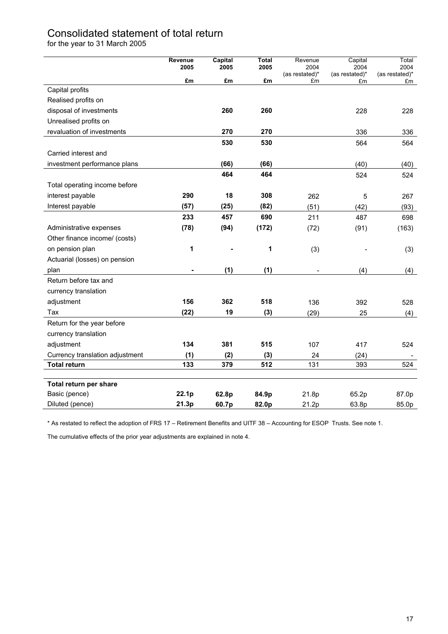# Consolidated statement of total return

for the year to 31 March 2005

|                                 | Revenue | Capital | <b>Total</b> | Revenue                | Capital                | Total                  |
|---------------------------------|---------|---------|--------------|------------------------|------------------------|------------------------|
|                                 | 2005    | 2005    | 2005         | 2004<br>(as restated)* | 2004<br>(as restated)* | 2004<br>(as restated)* |
|                                 | £m      | £m      | £m           | £m                     | £m                     | £m                     |
| Capital profits                 |         |         |              |                        |                        |                        |
| Realised profits on             |         |         |              |                        |                        |                        |
| disposal of investments         |         | 260     | 260          |                        | 228                    | 228                    |
| Unrealised profits on           |         |         |              |                        |                        |                        |
| revaluation of investments      |         | 270     | 270          |                        | 336                    | 336                    |
|                                 |         | 530     | 530          |                        | 564                    | 564                    |
| Carried interest and            |         |         |              |                        |                        |                        |
| investment performance plans    |         | (66)    | (66)         |                        | (40)                   | (40)                   |
|                                 |         | 464     | 464          |                        | 524                    | 524                    |
| Total operating income before   |         |         |              |                        |                        |                        |
| interest payable                | 290     | 18      | 308          | 262                    | $\overline{5}$         | 267                    |
| Interest payable                | (57)    | (25)    | (82)         | (51)                   | (42)                   | (93)                   |
|                                 | 233     | 457     | 690          | 211                    | 487                    | 698                    |
| Administrative expenses         | (78)    | (94)    | (172)        | (72)                   | (91)                   | (163)                  |
| Other finance income/ (costs)   |         |         |              |                        |                        |                        |
| on pension plan                 | 1       |         | 1            | (3)                    |                        | (3)                    |
| Actuarial (losses) on pension   |         |         |              |                        |                        |                        |
| plan                            |         | (1)     | (1)          |                        | (4)                    | (4)                    |
| Return before tax and           |         |         |              |                        |                        |                        |
| currency translation            |         |         |              |                        |                        |                        |
| adjustment                      | 156     | 362     | 518          | 136                    | 392                    | 528                    |
| Tax                             | (22)    | 19      | (3)          | (29)                   | 25                     | (4)                    |
| Return for the year before      |         |         |              |                        |                        |                        |
| currency translation            |         |         |              |                        |                        |                        |
| adjustment                      | 134     | 381     | 515          | 107                    | 417                    | 524                    |
| Currency translation adjustment | (1)     | (2)     | (3)          | 24                     | (24)                   |                        |
| <b>Total return</b>             | 133     | 379     | 512          | 131                    | 393                    | 524                    |
|                                 |         |         |              |                        |                        |                        |
| Total return per share          |         |         |              |                        |                        |                        |
| Basic (pence)                   | 22.1p   | 62.8p   | 84.9p        | 21.8p                  | 65.2p                  | 87.0p                  |
| Diluted (pence)                 | 21.3p   | 60.7p   | 82.0p        | 21.2p                  | 63.8p                  | 85.0p                  |

\* As restated to reflect the adoption of FRS 17 – Retirement Benefits and UITF 38 – Accounting for ESOP Trusts. See note 1.

The cumulative effects of the prior year adjustments are explained in note 4.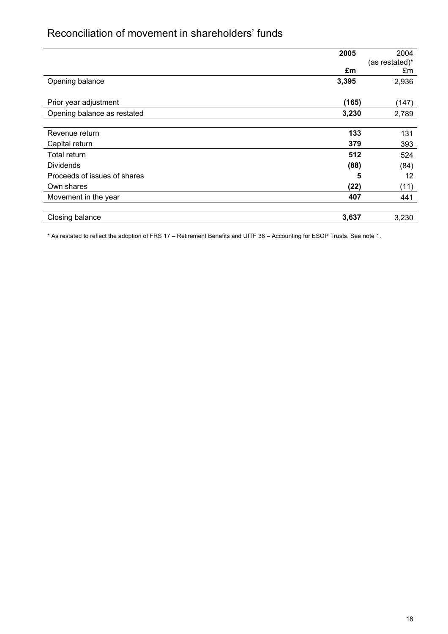# Reconciliation of movement in shareholders' funds

|                              | 2005  | 2004           |
|------------------------------|-------|----------------|
|                              |       | (as restated)* |
|                              | £m    | £m             |
| Opening balance              | 3,395 | 2,936          |
|                              |       |                |
| Prior year adjustment        | (165) | (147)          |
| Opening balance as restated  | 3,230 | 2,789          |
|                              |       |                |
| Revenue return               | 133   | 131            |
| Capital return               | 379   | 393            |
| Total return                 | 512   | 524            |
| <b>Dividends</b>             | (88)  | (84)           |
| Proceeds of issues of shares | 5     | 12             |
| Own shares                   | (22)  | (11)           |
| Movement in the year         | 407   | 441            |
| Closing balance              | 3,637 | 3,230          |

\* As restated to reflect the adoption of FRS 17 – Retirement Benefits and UITF 38 – Accounting for ESOP Trusts. See note 1.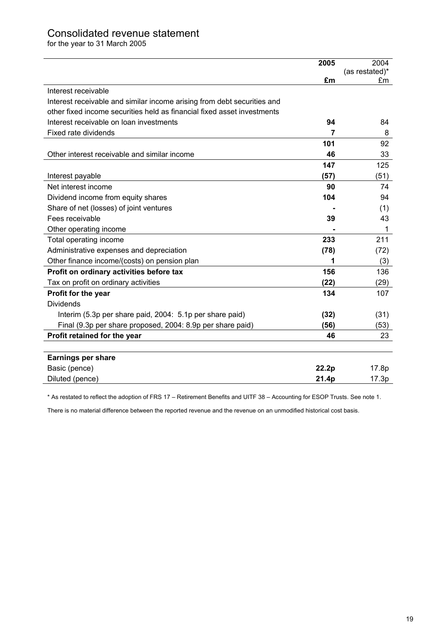# Consolidated revenue statement

for the year to 31 March 2005

|                                                                         | 2005  | 2004           |
|-------------------------------------------------------------------------|-------|----------------|
|                                                                         |       | (as restated)* |
|                                                                         | £m    | £m             |
| Interest receivable                                                     |       |                |
| Interest receivable and similar income arising from debt securities and |       |                |
| other fixed income securities held as financial fixed asset investments |       |                |
| Interest receivable on loan investments                                 | 94    | 84             |
| Fixed rate dividends                                                    | 7     | 8              |
|                                                                         | 101   | 92             |
| Other interest receivable and similar income                            | 46    | 33             |
|                                                                         | 147   | 125            |
| Interest payable                                                        | (57)  | (51)           |
| Net interest income                                                     | 90    | 74             |
| Dividend income from equity shares                                      | 104   | 94             |
| Share of net (losses) of joint ventures                                 |       | (1)            |
| Fees receivable                                                         | 39    | 43             |
| Other operating income                                                  |       | 1              |
| Total operating income                                                  | 233   | 211            |
| Administrative expenses and depreciation                                | (78)  | (72)           |
| Other finance income/(costs) on pension plan                            | 1     | (3)            |
| Profit on ordinary activities before tax                                | 156   | 136            |
| Tax on profit on ordinary activities                                    | (22)  | (29)           |
| Profit for the year                                                     | 134   | 107            |
| <b>Dividends</b>                                                        |       |                |
| Interim (5.3p per share paid, 2004: 5.1p per share paid)                | (32)  | (31)           |
| Final (9.3p per share proposed, 2004: 8.9p per share paid)              | (56)  | (53)           |
| Profit retained for the year                                            | 46    | 23             |
|                                                                         |       |                |
| <b>Earnings per share</b>                                               |       |                |
| Basic (pence)                                                           | 22.2p | 17.8p          |
| Diluted (pence)                                                         | 21.4p | 17.3p          |

\* As restated to reflect the adoption of FRS 17 – Retirement Benefits and UITF 38 – Accounting for ESOP Trusts. See note 1.

There is no material difference between the reported revenue and the revenue on an unmodified historical cost basis.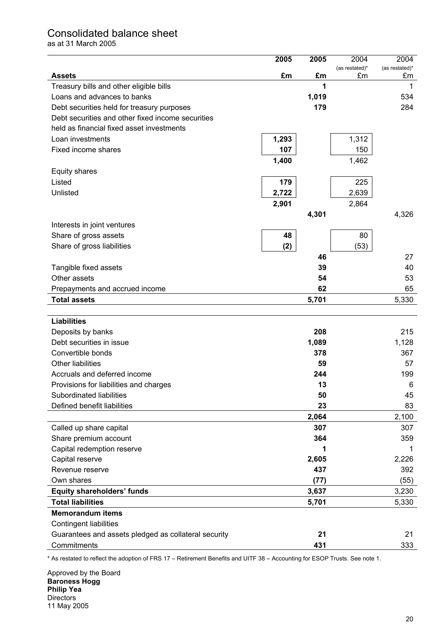## Consolidated balance sheet

as at 31 March 2005

|                                                      | 2005  | 2005  | 2004           | 2004           |
|------------------------------------------------------|-------|-------|----------------|----------------|
| <b>Assets</b>                                        | £m    | £m    | (as restated)* | (as restated)* |
| Treasury bills and other eligible bills              |       | 1     | £m             | £m<br>1        |
| Loans and advances to banks                          |       | 1,019 |                | 534            |
| Debt securities held for treasury purposes           |       | 179   |                | 284            |
| Debt securities and other fixed income securities    |       |       |                |                |
| held as financial fixed asset investments            |       |       |                |                |
| Loan investments                                     | 1,293 |       | 1,312          |                |
| Fixed income shares                                  | 107   |       | 150            |                |
|                                                      |       |       |                |                |
|                                                      | 1,400 |       | 1,462          |                |
| Equity shares                                        |       |       |                |                |
| Listed                                               | 179   |       | 225            |                |
| Unlisted                                             | 2,722 |       | 2,639          |                |
|                                                      | 2,901 |       | 2,864          |                |
|                                                      |       | 4,301 |                | 4,326          |
| Interests in joint ventures                          |       |       |                |                |
| Share of gross assets                                | 48    |       | 80             |                |
| Share of gross liabilities                           | (2)   |       | (53)           |                |
|                                                      |       | 46    |                | 27             |
| Tangible fixed assets                                |       | 39    |                | 40             |
| Other assets                                         |       | 54    |                | 53             |
| Prepayments and accrued income                       |       | 62    |                | 65             |
| <b>Total assets</b>                                  |       | 5,701 |                | 5,330          |
|                                                      |       |       |                |                |
| <b>Liabilities</b>                                   |       |       |                |                |
| Deposits by banks                                    |       | 208   |                | 215            |
| Debt securities in issue                             |       | 1,089 |                | 1,128          |
| Convertible bonds                                    |       | 378   |                | 367            |
| Other liabilities                                    |       | 59    |                | 57             |
| Accruals and deferred income                         |       | 244   |                | 199            |
| Provisions for liabilities and charges               |       | 13    |                | 6              |
| Subordinated liabilities                             |       | 50    |                | 45             |
| Defined benefit liabilities                          |       | 23    |                | 83             |
|                                                      |       | 2,064 |                | 2,100          |
| Called up share capital                              |       | 307   |                | 307            |
| Share premium account                                |       | 364   |                | 359            |
| Capital redemption reserve                           |       | 1     |                | 1              |
| Capital reserve                                      |       | 2,605 |                | 2,226          |
| Revenue reserve                                      |       | 437   |                | 392            |
| Own shares                                           |       | (77)  |                | (55)           |
| <b>Equity shareholders' funds</b>                    |       | 3,637 |                | 3,230          |
| <b>Total liabilities</b>                             |       | 5,701 |                | 5,330          |
| <b>Memorandum items</b>                              |       |       |                |                |
| <b>Contingent liabilities</b>                        |       |       |                |                |
| Guarantees and assets pledged as collateral security |       | 21    |                | 21             |
| Commitments                                          |       | 431   |                | 333            |

\* As restated to reflect the adoption of FRS 17 – Retirement Benefits and UITF 38 – Accounting for ESOP Trusts. See note 1.

Approved by the Board **Baroness Hogg Philip Yea Directors** 11 May 2005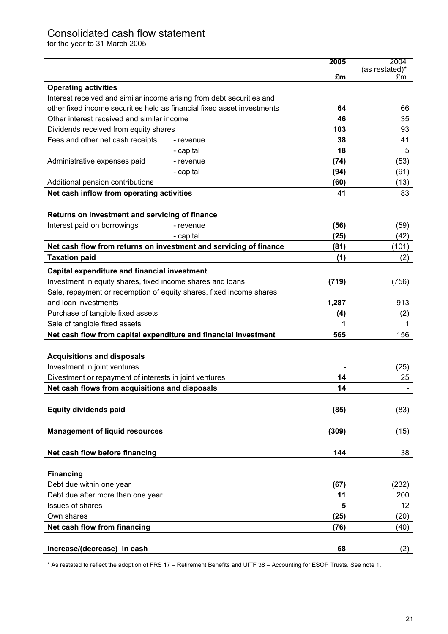# Consolidated cash flow statement

for the year to 31 March 2005

|                                                                         |           | 2005  | 2004                 |
|-------------------------------------------------------------------------|-----------|-------|----------------------|
|                                                                         |           | £m    | (as restated)*<br>£m |
| <b>Operating activities</b>                                             |           |       |                      |
| Interest received and similar income arising from debt securities and   |           |       |                      |
| other fixed income securities held as financial fixed asset investments |           | 64    | 66                   |
| Other interest received and similar income                              |           | 46    | 35                   |
| Dividends received from equity shares                                   |           | 103   | 93                   |
| Fees and other net cash receipts                                        | - revenue | 38    | 41                   |
|                                                                         | - capital | 18    | 5                    |
| Administrative expenses paid                                            | - revenue | (74)  | (53)                 |
|                                                                         | - capital | (94)  | (91)                 |
| Additional pension contributions                                        |           | (60)  | (13)                 |
| Net cash inflow from operating activities                               |           | 41    | 83                   |
|                                                                         |           |       |                      |
| Returns on investment and servicing of finance                          |           |       |                      |
| Interest paid on borrowings                                             | - revenue | (56)  | (59)                 |
|                                                                         | - capital | (25)  | (42)                 |
| Net cash flow from returns on investment and servicing of finance       |           | (81)  | (101)                |
| <b>Taxation paid</b>                                                    |           | (1)   | (2)                  |
| <b>Capital expenditure and financial investment</b>                     |           |       |                      |
| Investment in equity shares, fixed income shares and loans              |           | (719) | (756)                |
| Sale, repayment or redemption of equity shares, fixed income shares     |           |       |                      |
| and loan investments                                                    |           | 1,287 | 913                  |
| Purchase of tangible fixed assets                                       |           | (4)   | (2)                  |
| Sale of tangible fixed assets                                           |           |       | 1                    |
| Net cash flow from capital expenditure and financial investment         |           | 565   | 156                  |
|                                                                         |           |       |                      |
| <b>Acquisitions and disposals</b>                                       |           |       |                      |
| Investment in joint ventures                                            |           |       | (25)                 |
| Divestment or repayment of interests in joint ventures                  |           | 14    | 25                   |
| Net cash flows from acquisitions and disposals                          |           | 14    |                      |
| <b>Equity dividends paid</b>                                            |           | (85)  | (83)                 |
|                                                                         |           |       |                      |
| <b>Management of liquid resources</b>                                   |           | (309) | (15)                 |
|                                                                         |           |       |                      |
| Net cash flow before financing                                          |           | 144   | 38                   |
|                                                                         |           |       |                      |
| <b>Financing</b>                                                        |           |       |                      |
| Debt due within one year                                                |           | (67)  | (232)                |
| Debt due after more than one year                                       |           | 11    | 200                  |
| <b>Issues of shares</b>                                                 |           | 5     | 12                   |
| Own shares                                                              |           | (25)  | (20)                 |
| Net cash flow from financing                                            |           | (76)  | (40)                 |
|                                                                         |           |       |                      |
| Increase/(decrease) in cash                                             |           | 68    | (2)                  |

\* As restated to reflect the adoption of FRS 17 – Retirement Benefits and UITF 38 – Accounting for ESOP Trusts. See note 1.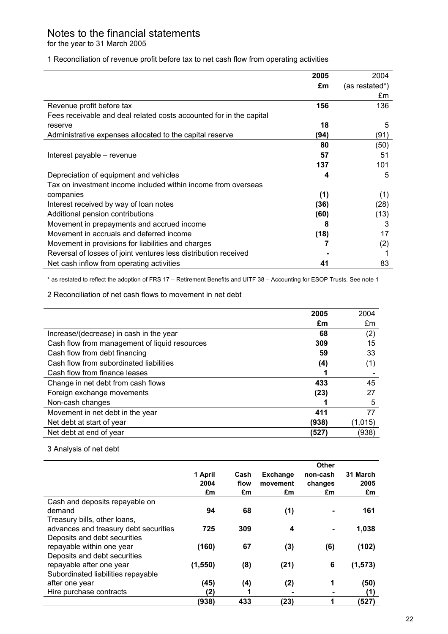# Notes to the financial statements

for the year to 31 March 2005

1 Reconciliation of revenue profit before tax to net cash flow from operating activities

|                                                                     | 2005 | 2004           |
|---------------------------------------------------------------------|------|----------------|
|                                                                     | £m   | (as restated*) |
|                                                                     |      | £m             |
| Revenue profit before tax                                           | 156  | 136            |
| Fees receivable and deal related costs accounted for in the capital |      |                |
| reserve                                                             | 18   | 5              |
| Administrative expenses allocated to the capital reserve            | (94) | (91)           |
|                                                                     | 80   | (50)           |
| Interest payable - revenue                                          | 57   | 51             |
|                                                                     | 137  | 101            |
| Depreciation of equipment and vehicles                              | 4    | 5              |
| Tax on investment income included within income from overseas       |      |                |
| companies                                                           | (1)  | (1)            |
| Interest received by way of loan notes                              | (36) | (28)           |
| Additional pension contributions                                    | (60) | (13)           |
| Movement in prepayments and accrued income                          | 8    | 3              |
| Movement in accruals and deferred income                            | (18) | 17             |
| Movement in provisions for liabilities and charges                  |      | (2)            |
| Reversal of losses of joint ventures less distribution received     |      |                |
| Net cash inflow from operating activities                           | 41   | 83             |

\* as restated to reflect the adoption of FRS 17 – Retirement Benefits and UITF 38 – Accounting for ESOP Trusts. See note 1

2 Reconciliation of net cash flows to movement in net debt

|                                               | 2005  | 2004    |
|-----------------------------------------------|-------|---------|
|                                               | £m    | £m      |
| Increase/(decrease) in cash in the year       | 68    | (2)     |
| Cash flow from management of liquid resources | 309   | 15      |
| Cash flow from debt financing                 | 59    | 33      |
| Cash flow from subordinated liabilities       | (4)   | (1)     |
| Cash flow from finance leases                 |       |         |
| Change in net debt from cash flows            | 433   | 45      |
| Foreign exchange movements                    | (23)  | 27      |
| Non-cash changes                              |       | 5       |
| Movement in net debt in the year              | 411   | 77      |
| Net debt at start of year                     | (938) | (1,015) |
| Net debt at end of year                       | (527) | (938)   |

## 3 Analysis of net debt

|                                       |          |      |                 | Other    |          |
|---------------------------------------|----------|------|-----------------|----------|----------|
|                                       | 1 April  | Cash | <b>Exchange</b> | non-cash | 31 March |
|                                       | 2004     | flow | movement        | changes  | 2005     |
|                                       | £m       | £m   | £m              | £m       | £m       |
| Cash and deposits repayable on        |          |      |                 |          |          |
| demand                                | 94       | 68   | (1)             |          | 161      |
| Treasury bills, other loans,          |          |      |                 |          |          |
| advances and treasury debt securities | 725      | 309  | 4               |          | 1,038    |
| Deposits and debt securities          |          |      |                 |          |          |
| repayable within one year             | (160)    | 67   | (3)             | (6)      | (102)    |
| Deposits and debt securities          |          |      |                 |          |          |
| repayable after one year              | (1, 550) | (8)  | (21)            | 6        | (1, 573) |
| Subordinated liabilities repayable    |          |      |                 |          |          |
| after one year                        | (45)     | (4)  | (2)             | 1        | (50)     |
| Hire purchase contracts               | (2)      |      |                 |          | (1)      |
|                                       | (938)    | 433  | (23)            | 1        | (527)    |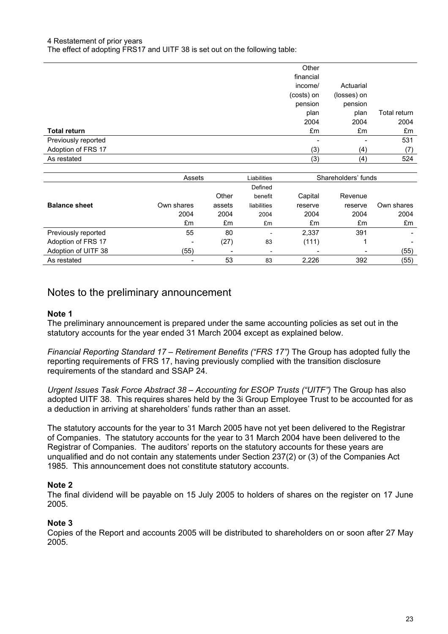#### 4 Restatement of prior years

The effect of adopting FRS17 and UITF 38 is set out on the following table:

|                     | Other<br>financial       |                          |              |
|---------------------|--------------------------|--------------------------|--------------|
|                     | income/                  | Actuarial                |              |
|                     | (costs) on               | (losses) on              |              |
|                     | pension                  | pension                  |              |
|                     | plan                     | plan                     | Total return |
|                     | 2004                     | 2004                     | 2004         |
| <b>Total return</b> | £m                       | £m                       | £m           |
| Previously reported | $\overline{\phantom{0}}$ | $\overline{\phantom{a}}$ | 531          |
| Adoption of FRS 17  | (3)                      | (4)                      | (7)          |
| As restated         | (3)                      | (4)                      | 524          |

|                      | Assets     |        | Liabilities              | Shareholders' funds |                          |            |
|----------------------|------------|--------|--------------------------|---------------------|--------------------------|------------|
|                      |            |        | Defined                  |                     |                          |            |
|                      |            | Other  | benefit                  | Capital             | Revenue                  |            |
| <b>Balance sheet</b> | Own shares | assets | liabilities              | reserve             | reserve                  | Own shares |
|                      | 2004       | 2004   | 2004                     | 2004                | 2004                     | 2004       |
|                      | £m         | £m     | £m                       | £m                  | £m                       | £m         |
| Previously reported  | 55         | 80     | $\overline{\phantom{0}}$ | 2,337               | 391                      |            |
| Adoption of FRS 17   | -          | (27)   | 83                       | (111)               |                          |            |
| Adoption of UITF 38  | (55)       |        | $\overline{\phantom{a}}$ |                     | $\overline{\phantom{a}}$ | (55)       |
| As restated          |            | 53     | 83                       | 2.226               | 392                      | (55)       |

## Notes to the preliminary announcement

#### **Note 1**

The preliminary announcement is prepared under the same accounting policies as set out in the statutory accounts for the year ended 31 March 2004 except as explained below.

*Financial Reporting Standard 17 – Retirement Benefits ("FRS 17")* The Group has adopted fully the reporting requirements of FRS 17, having previously complied with the transition disclosure requirements of the standard and SSAP 24.

*Urgent Issues Task Force Abstract 38 – Accounting for ESOP Trusts ("UITF")* The Group has also adopted UITF 38. This requires shares held by the 3i Group Employee Trust to be accounted for as a deduction in arriving at shareholders' funds rather than an asset.

The statutory accounts for the year to 31 March 2005 have not yet been delivered to the Registrar of Companies. The statutory accounts for the year to 31 March 2004 have been delivered to the Registrar of Companies. The auditors' reports on the statutory accounts for these years are unqualified and do not contain any statements under Section 237(2) or (3) of the Companies Act 1985. This announcement does not constitute statutory accounts.

#### **Note 2**

The final dividend will be payable on 15 July 2005 to holders of shares on the register on 17 June 2005.

### **Note 3**

Copies of the Report and accounts 2005 will be distributed to shareholders on or soon after 27 May 2005.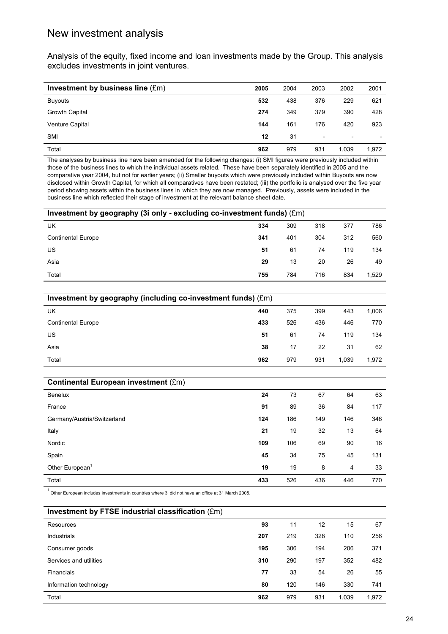## New investment analysis

Analysis of the equity, fixed income and loan investments made by the Group. This analysis excludes investments in joint ventures.

| Investment by business line (£m) | 2005 | 2004 | 2003                     | 2002                     | 2001                     |
|----------------------------------|------|------|--------------------------|--------------------------|--------------------------|
| <b>Buyouts</b>                   | 532  | 438  | 376                      | 229                      | 621                      |
| Growth Capital                   | 274  | 349  | 379                      | 390                      | 428                      |
| <b>Venture Capital</b>           | 144  | 161  | 176                      | 420                      | 923                      |
| <b>SMI</b>                       | 12   | 31   | $\overline{\phantom{a}}$ | $\overline{\phantom{0}}$ | $\overline{\phantom{0}}$ |
| Total                            | 962  | 979  | 931                      | 1.039                    | 1.972                    |

The analyses by business line have been amended for the following changes: (i) SMI figures were previously included within those of the business lines to which the individual assets related. These have been separately identified in 2005 and the comparative year 2004, but not for earlier years; (ii) Smaller buyouts which were previously included within Buyouts are now disclosed within Growth Capital, for which all comparatives have been restated; (iii) the portfolio is analysed over the five year period showing assets within the business lines in which they are now managed. Previously, assets were included in the business line which reflected their stage of investment at the relevant balance sheet date.

| Investment by geography (3i only - excluding co-investment funds) (£m) |     |     |     |     |       |  |
|------------------------------------------------------------------------|-----|-----|-----|-----|-------|--|
| UK                                                                     | 334 | 309 | 318 | 377 | 786   |  |
| <b>Continental Europe</b>                                              | 341 | 401 | 304 | 312 | 560   |  |
| US                                                                     | 51  | 61  | 74  | 119 | 134   |  |
| Asia                                                                   | 29  | 13  | 20  | 26  | 49    |  |
| Total                                                                  | 755 | 784 | 716 | 834 | 1.529 |  |

| Investment by geography (including co-investment funds) (£m) |     |     |     |       |       |  |
|--------------------------------------------------------------|-----|-----|-----|-------|-------|--|
| UK                                                           | 440 | 375 | 399 | 443   | 1,006 |  |
| <b>Continental Europe</b>                                    | 433 | 526 | 436 | 446   | 770   |  |
| US                                                           | 51  | 61  | 74  | 119   | 134   |  |
| Asia                                                         | 38  | 17  | 22  | 31    | 62    |  |
| Total                                                        | 962 | 979 | 931 | 1.039 | 1,972 |  |

| <b>Continental European investment (£m)</b> |     |     |     |     |     |
|---------------------------------------------|-----|-----|-----|-----|-----|
| <b>Benelux</b>                              | 24  | 73  | 67  | 64  | 63  |
| France                                      | 91  | 89  | 36  | 84  | 117 |
| Germany/Austria/Switzerland                 | 124 | 186 | 149 | 146 | 346 |
| Italy                                       | 21  | 19  | 32  | 13  | 64  |
| Nordic                                      | 109 | 106 | 69  | 90  | 16  |
| Spain                                       | 45  | 34  | 75  | 45  | 131 |
| Other European <sup>1</sup>                 | 19  | 19  | 8   | 4   | 33  |
| Total                                       | 433 | 526 | 436 | 446 | 770 |

 $1$  Other European includes investments in countries where 3i did not have an office at 31 March 2005.

| Investment by FTSE industrial classification (£m) |     |     |     |       |       |
|---------------------------------------------------|-----|-----|-----|-------|-------|
| Resources                                         | 93  | 11  | 12  | 15    | 67    |
| Industrials                                       | 207 | 219 | 328 | 110   | 256   |
| Consumer goods                                    | 195 | 306 | 194 | 206   | 371   |
| Services and utilities                            | 310 | 290 | 197 | 352   | 482   |
| <b>Financials</b>                                 | 77  | 33  | 54  | 26    | 55    |
| Information technology                            | 80  | 120 | 146 | 330   | 741   |
| Total                                             | 962 | 979 | 931 | 1,039 | 1,972 |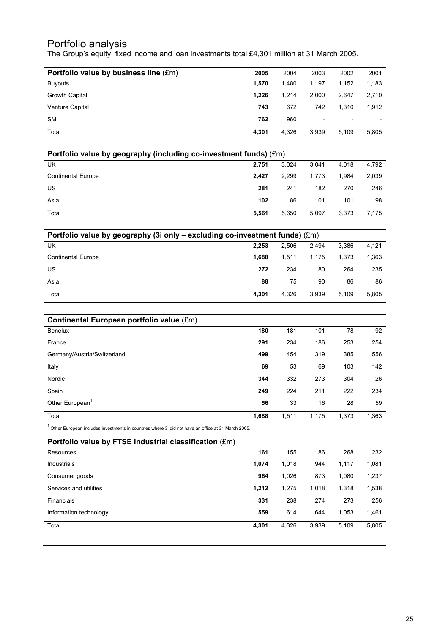## Portfolio analysis

The Group's equity, fixed income and loan investments total £4,301 million at 31 March 2005.

| Portfolio value by business line (£m) | 2005  | 2004  | 2003                     | 2002                     | 2001                     |
|---------------------------------------|-------|-------|--------------------------|--------------------------|--------------------------|
| <b>Buyouts</b>                        | 1,570 | 1,480 | 1.197                    | 1,152                    | 1,183                    |
| Growth Capital                        | 1.226 | 1.214 | 2.000                    | 2.647                    | 2,710                    |
| <b>Venture Capital</b>                | 743   | 672   | 742                      | 1.310                    | 1,912                    |
| <b>SMI</b>                            | 762   | 960   | $\overline{\phantom{a}}$ | $\overline{\phantom{a}}$ | $\overline{\phantom{0}}$ |
| Total                                 | 4,301 | 4,326 | 3,939                    | 5,109                    | 5,805                    |

| Portfolio value by geography (including co-investment funds) (£m) |       |       |       |       |       |  |  |
|-------------------------------------------------------------------|-------|-------|-------|-------|-------|--|--|
| UK                                                                | 2.751 | 3.024 | 3.041 | 4.018 | 4,792 |  |  |
| <b>Continental Europe</b>                                         | 2.427 | 2.299 | 1.773 | 1.984 | 2,039 |  |  |
| US                                                                | 281   | 241   | 182   | 270   | 246   |  |  |
| Asia                                                              | 102   | 86    | 101   | 101   | 98    |  |  |
| Total                                                             | 5,561 | 5.650 | 5.097 | 6.373 | 7.175 |  |  |

| Portfolio value by geography (3i only - excluding co-investment funds) (£m) |       |       |       |       |       |  |  |
|-----------------------------------------------------------------------------|-------|-------|-------|-------|-------|--|--|
| UK                                                                          | 2.253 | 2.506 | 2.494 | 3.386 | 4,121 |  |  |
| <b>Continental Europe</b>                                                   | 1.688 | 1.511 | 1.175 | 1.373 | 1,363 |  |  |
| US                                                                          | 272   | 234   | 180   | 264   | 235   |  |  |
| Asia                                                                        | 88    | 75    | 90    | 86    | 86    |  |  |
| Total                                                                       | 4.301 | 4.326 | 3.939 | 5.109 | 5,805 |  |  |

| Continental European portfolio value (£m) |       |       |       |       |       |
|-------------------------------------------|-------|-------|-------|-------|-------|
| <b>Benelux</b>                            | 180   | 181   | 101   | 78    | 92    |
| France                                    | 291   | 234   | 186   | 253   | 254   |
| Germany/Austria/Switzerland               | 499   | 454   | 319   | 385   | 556   |
| Italy                                     | 69    | 53    | 69    | 103   | 142   |
| Nordic                                    | 344   | 332   | 273   | 304   | 26    |
| Spain                                     | 249   | 224   | 211   | 222   | 234   |
| Other European <sup>1</sup>               | 56    | 33    | 16    | 28    | 59    |
| Total                                     | 1,688 | 1,511 | 1,175 | 1,373 | 1,363 |

 $1$  Other European includes investments in countries where 3i did not have an office at 31 March 2005.

| Portfolio value by FTSE industrial classification (£m) |       |       |       |       |       |
|--------------------------------------------------------|-------|-------|-------|-------|-------|
| Resources                                              | 161   | 155   | 186   | 268   | 232   |
| <b>Industrials</b>                                     | 1,074 | 1,018 | 944   | 1,117 | 1,081 |
| Consumer goods                                         | 964   | 1,026 | 873   | 1,080 | 1,237 |
| Services and utilities                                 | 1,212 | 1,275 | 1,018 | 1,318 | 1,538 |
| Financials                                             | 331   | 238   | 274   | 273   | 256   |
| Information technology                                 | 559   | 614   | 644   | 1,053 | 1,461 |
| Total                                                  | 4,301 | 4,326 | 3,939 | 5,109 | 5,805 |
|                                                        |       |       |       |       |       |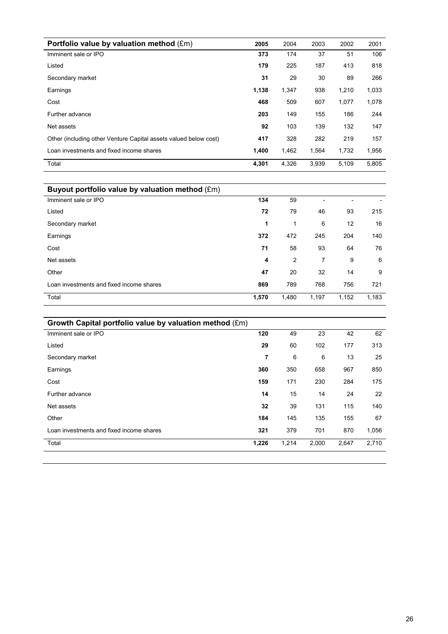| Portfolio value by valuation method (£m)                         | 2005  | 2004  | 2003  | 2002  | 2001  |
|------------------------------------------------------------------|-------|-------|-------|-------|-------|
| Imminent sale or IPO                                             | 373   | 174   | 37    | 51    | 106   |
| Listed                                                           | 179   | 225   | 187   | 413   | 818   |
| Secondary market                                                 | 31    | 29    | 30    | 89    | 266   |
| Earnings                                                         | 1,138 | 1,347 | 938   | 1,210 | 1,033 |
| Cost                                                             | 468   | 509   | 607   | 1,077 | 1,078 |
| Further advance                                                  | 203   | 149   | 155   | 186   | 244   |
| Net assets                                                       | 92    | 103   | 139   | 132   | 147   |
| Other (including other Venture Capital assets valued below cost) | 417   | 328   | 282   | 219   | 157   |
| Loan investments and fixed income shares                         | 1,400 | 1,462 | 1,564 | 1,732 | 1,956 |
| Total                                                            | 4,301 | 4,326 | 3.939 | 5,109 | 5,805 |

| Buyout portfolio value by valuation method (£m) |       |       |       |       |       |
|-------------------------------------------------|-------|-------|-------|-------|-------|
| Imminent sale or IPO                            | 134   | 59    |       | -     |       |
| Listed                                          | 72    | 79    | 46    | 93    | 215   |
| Secondary market                                | 1     | 1     | 6     | 12    | 16    |
| Earnings                                        | 372   | 472   | 245   | 204   | 140   |
| Cost                                            | 71    | 58    | 93    | 64    | 76    |
| Net assets                                      | 4     | 2     | 7     | 9     | 6     |
| Other                                           | 47    | 20    | 32    | 14    | 9     |
| Loan investments and fixed income shares        | 869   | 789   | 768   | 756   | 721   |
| Total                                           | 1,570 | 1,480 | 1,197 | 1,152 | 1,183 |

| Growth Capital portfolio value by valuation method (£m) |       |       |       |       |       |
|---------------------------------------------------------|-------|-------|-------|-------|-------|
| Imminent sale or IPO                                    | 120   | 49    | 23    | 42    | 62    |
| Listed                                                  | 29    | 60    | 102   | 177   | 313   |
| Secondary market                                        | 7     | 6     | 6     | 13    | 25    |
| Earnings                                                | 360   | 350   | 658   | 967   | 850   |
| Cost                                                    | 159   | 171   | 230   | 284   | 175   |
| Further advance                                         | 14    | 15    | 14    | 24    | 22    |
| Net assets                                              | 32    | 39    | 131   | 115   | 140   |
| Other                                                   | 184   | 145   | 135   | 155   | 67    |
| Loan investments and fixed income shares                | 321   | 379   | 701   | 870   | 1,056 |
| Total                                                   | 1,226 | 1,214 | 2,000 | 2,647 | 2,710 |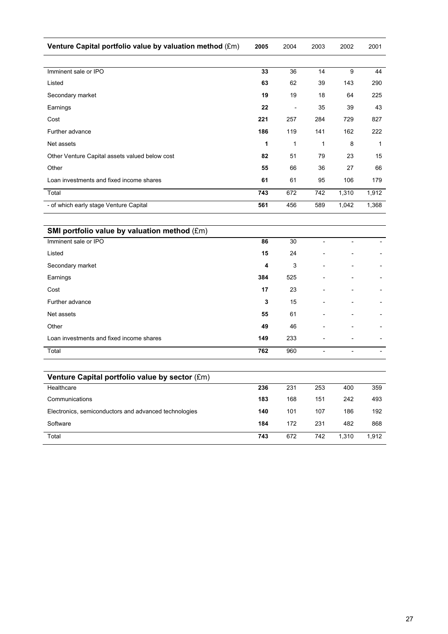| Venture Capital portfolio value by valuation method (£m) | 2005 | 2004                     | 2003 | 2002  | 2001  |
|----------------------------------------------------------|------|--------------------------|------|-------|-------|
|                                                          |      |                          |      |       |       |
| Imminent sale or IPO                                     | 33   | 36                       | 14   | 9     | 44    |
| Listed                                                   | 63   | 62                       | 39   | 143   | 290   |
| Secondary market                                         | 19   | 19                       | 18   | 64    | 225   |
| Earnings                                                 | 22   | $\overline{\phantom{0}}$ | 35   | 39    | 43    |
| Cost                                                     | 221  | 257                      | 284  | 729   | 827   |
| Further advance                                          | 186  | 119                      | 141  | 162   | 222   |
| Net assets                                               | 1    | 1                        | 1    | 8     | 1     |
| Other Venture Capital assets valued below cost           | 82   | 51                       | 79   | 23    | 15    |
| Other                                                    | 55   | 66                       | 36   | 27    | 66    |
| Loan investments and fixed income shares                 | 61   | 61                       | 95   | 106   | 179   |
| Total                                                    | 743  | 672                      | 742  | 1,310 | 1,912 |
| - of which early stage Venture Capital                   | 561  | 456                      | 589  | 1,042 | 1,368 |

| SMI portfolio value by valuation method (£m) |     |     |                          |  |
|----------------------------------------------|-----|-----|--------------------------|--|
| Imminent sale or IPO                         | 86  | 30  |                          |  |
| Listed                                       | 15  | 24  | $\overline{a}$           |  |
| Secondary market                             | 4   | 3   | $\overline{\phantom{a}}$ |  |
| Earnings                                     | 384 | 525 | $\overline{\phantom{a}}$ |  |
| Cost                                         | 17  | 23  | $\overline{\phantom{0}}$ |  |
| Further advance                              | 3   | 15  | $\overline{\phantom{0}}$ |  |
| Net assets                                   | 55  | 61  | $\overline{\phantom{0}}$ |  |
| Other                                        | 49  | 46  | $\overline{\phantom{0}}$ |  |
| Loan investments and fixed income shares     | 149 | 233 | $\overline{\phantom{a}}$ |  |
| Total                                        | 762 | 960 |                          |  |

| Venture Capital portfolio value by sector (£m)        |     |     |     |       |       |
|-------------------------------------------------------|-----|-----|-----|-------|-------|
| Healthcare                                            | 236 | 231 | 253 | 400   | 359   |
| Communications                                        | 183 | 168 | 151 | 242   | 493   |
| Electronics, semiconductors and advanced technologies | 140 | 101 | 107 | 186   | 192   |
| Software                                              | 184 | 172 | 231 | 482   | 868   |
| Total                                                 | 743 | 672 | 742 | 1.310 | 1.912 |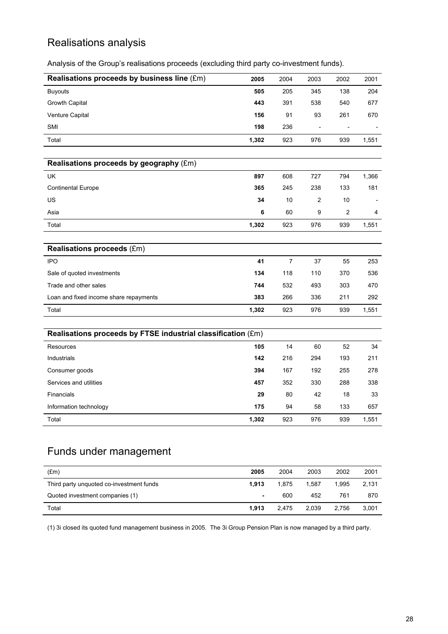# Realisations analysis

Analysis of the Group's realisations proceeds (excluding third party co-investment funds).

| Realisations proceeds by business line (£m)                  | 2005  | 2004           | 2003           | 2002 | 2001  |
|--------------------------------------------------------------|-------|----------------|----------------|------|-------|
| <b>Buyouts</b>                                               | 505   | 205            | 345            | 138  | 204   |
| Growth Capital                                               | 443   | 391            | 538            | 540  | 677   |
| Venture Capital                                              | 156   | 91             | 93             | 261  | 670   |
| SMI                                                          | 198   | 236            | $\overline{a}$ |      |       |
| Total                                                        | 1,302 | 923            | 976            | 939  | 1,551 |
|                                                              |       |                |                |      |       |
| Realisations proceeds by geography (£m)                      |       |                |                |      |       |
| UK                                                           | 897   | 608            | 727            | 794  | 1,366 |
| <b>Continental Europe</b>                                    | 365   | 245            | 238            | 133  | 181   |
| US                                                           | 34    | 10             | $\overline{c}$ | 10   |       |
| Asia                                                         | 6     | 60             | 9              | 2    | 4     |
| Total                                                        | 1,302 | 923            | 976            | 939  | 1,551 |
|                                                              |       |                |                |      |       |
| <b>Realisations proceeds (£m)</b>                            |       |                |                |      |       |
| <b>IPO</b>                                                   | 41    | $\overline{7}$ | 37             | 55   | 253   |
| Sale of quoted investments                                   | 134   | 118            | 110            | 370  | 536   |
| Trade and other sales                                        | 744   | 532            | 493            | 303  | 470   |
| Loan and fixed income share repayments                       | 383   | 266            | 336            | 211  | 292   |
| Total                                                        | 1,302 | 923            | 976            | 939  | 1,551 |
|                                                              |       |                |                |      |       |
| Realisations proceeds by FTSE industrial classification (£m) |       |                |                |      |       |
| Resources                                                    | 105   | 14             | 60             | 52   | 34    |
| Industrials                                                  | 142   | 216            | 294            | 193  | 211   |
| Consumer goods                                               | 394   | 167            | 192            | 255  | 278   |
| Services and utilities                                       | 457   | 352            | 330            | 288  | 338   |
| Financials                                                   | 29    | 80             | 42             | 18   | 33    |
| Information technology                                       | 175   | 94             | 58             | 133  | 657   |
| Total                                                        | 1,302 | 923            | 976            | 939  | 1,551 |

# Funds under management

| (Em)                                     | 2005  | 2004  | 2003  | 2002  | 2001  |
|------------------------------------------|-------|-------|-------|-------|-------|
| Third party unquoted co-investment funds | 1.913 | 1.875 | 1.587 | 1.995 | 2.131 |
| Quoted investment companies (1)          | ٠     | 600   | 452   | 761   | 870   |
| Total                                    | 1.913 | 2.475 | 2.039 | 2.756 | 3.001 |

(1) 3i closed its quoted fund management business in 2005. The 3i Group Pension Plan is now managed by a third party.